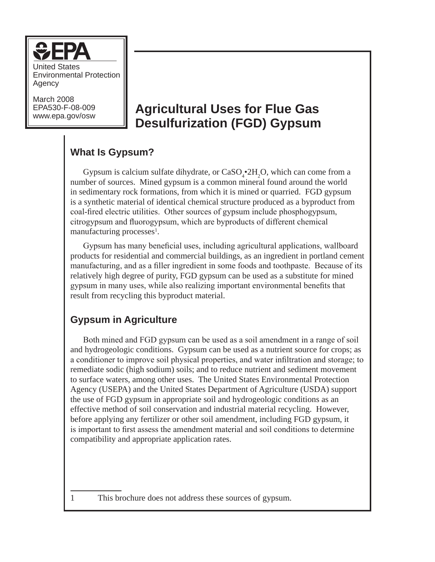

United States Environmental Protection Agency

March 2008 EPA530-F-08-009

# www.epa.gov/osw **Agricultural Uses for Flue Gas Desulfurization (FGD) Gypsum**

# **What Is Gypsum?**

Gypsum is calcium sulfate dihydrate, or  $CaSO_4^{\bullet}2H_2O$ , which can come from a number of sources. Mined gypsum is a common mineral found around the world in sedimentary rock formations, from which it is mined or quarried. FGD gypsum is a synthetic material of identical chemical structure produced as a byproduct from coal-fired electric utilities. Other sources of gypsum include phosphogypsum, citrogypsum and fluorogypsum, which are byproducts of different chemical manufacturing processes<sup>1</sup>.

Gypsum has many beneficial uses, including agricultural applications, wallboard products for residential and commercial buildings, as an ingredient in portland cement manufacturing, and as a filler ingredient in some foods and toothpaste. Because of its relatively high degree of purity, FGD gypsum can be used as a substitute for mined gypsum in many uses, while also realizing important environmental benefits that result from recycling this byproduct material.

## **Gypsum in Agriculture**

Both mined and FGD gypsum can be used as a soil amendment in a range of soil and hydrogeologic conditions. Gypsum can be used as a nutrient source for crops; as a conditioner to improve soil physical properties, and water infiltration and storage; to remediate sodic (high sodium) soils; and to reduce nutrient and sediment movement to surface waters, among other uses. The United States Environmental Protection Agency (USEPA) and the United States Department of Agriculture (USDA) support the use of FGD gypsum in appropriate soil and hydrogeologic conditions as an effective method of soil conservation and industrial material recycling. However, before applying any fertilizer or other soil amendment, including FGD gypsum, it is important to first assess the amendment material and soil conditions to determine compatibility and appropriate application rates.

This brochure does not address these sources of gypsum.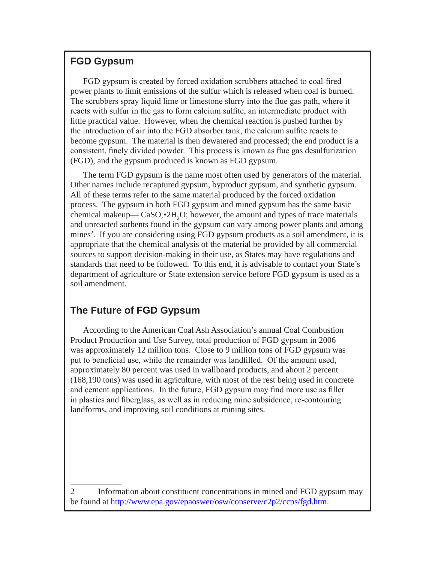## **FGD Gypsum**

FGD gypsum is created by forced oxidation scrubbers attached to coal-fired power plants to limit emissions of the sulfur which is released when coal is burned. The scrubbers spray liquid lime or limestone slurry into the flue gas path, where it reacts with sulfur in the gas to form calcium sulfite, an intermediate product with little practical value. However, when the chemical reaction is pushed further by the introduction of air into the FGD absorber tank, the calcium sulfite reacts to become gypsum. The material is then dewatered and processed; the end product is a consistent, finely divided powder. This process is known as flue gas desulfurization (FGD), and the gypsum produced is known as FGD gypsum.

The term FGD gypsum is the name most often used by generators of the material. Other names include recaptured gypsum, byproduct gypsum, and synthetic gypsum. All of these terms refer to the same material produced by the forced oxidation process. The gypsum in both FGD gypsum and mined gypsum has the same basic chemical makeup— $CaSO_4^{\bullet}2H_2O$ ; however, the amount and types of trace materials and unreacted sorbents found in the gypsum can vary among power plants and among mines<sup>2</sup>. If you are considering using FGD gypsum products as a soil amendment, it is appropriate that the chemical analysis of the material be provided by all commercial sources to support decision-making in their use, as States may have regulations and standards that need to be followed. To this end, it is advisable to contact your State's department of agriculture or State extension service before FGD gypsum is used as a soil amendment.

## **The Future of FGD Gypsum**

According to the American Coal Ash Association's annual Coal Combustion Product Production and Use Survey, total production of FGD gypsum in 2006 was approximately 12 million tons. Close to 9 million tons of FGD gypsum was put to beneficial use, while the remainder was landfilled. Of the amount used, approximately 80 percent was used in wallboard products, and about 2 percent (168,190 tons) was used in agriculture, with most of the rest being used in concrete and cement applications. In the future, FGD gypsum may find more use as filler in plastics and fiberglass, as well as in reducing mine subsidence, re-contouring landforms, and improving soil conditions at mining sites.

 $\overline{2}$  Information about constituent concentrations in mined and FGD gypsum may be found at http://www.epa.gov/epaoswer/osw/conserve/c2p2/ccps/fgd.htm.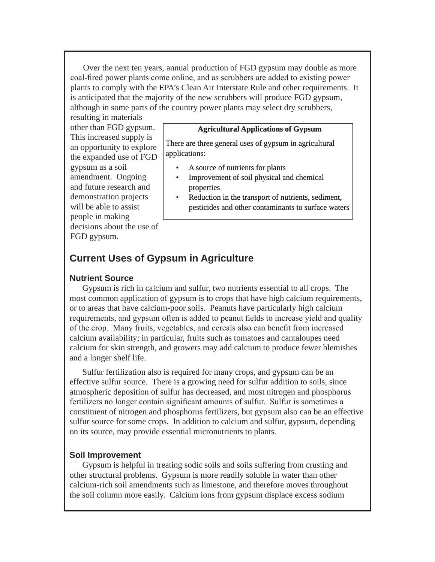Over the next ten years, annual production of FGD gypsum may double as more coal-fired power plants come online, and as scrubbers are added to existing power plants to comply with the EPA's Clean Air Interstate Rule and other requirements. It is anticipated that the majority of the new scrubbers will produce FGD gypsum, although in some parts of the country power plants may select dry scrubbers,

resulting in materials other than FGD gypsum. This increased supply is an opportunity to explore the expanded use of FGD gypsum as a soil amendment. Ongoing and future research and demonstration projects will be able to assist people in making decisions about the use of FGD gypsum.

#### **Agricultural Applications of Gypsum**

There are three general uses of gypsum in agricultural applications:

- A source of nutrients for plants
- Improvement of soil physical and chemical properties
- Reduction in the transport of nutrients, sediment, pesticides and other contaminants to surface waters

## **Current Uses of Gypsum in Agriculture**

#### **Nutrient Source**

Gypsum is rich in calcium and sulfur, two nutrients essential to all crops. The most common application of gypsum is to crops that have high calcium requirements, or to areas that have calcium-poor soils. Peanuts have particularly high calcium requirements, and gypsum often is added to peanut fields to increase yield and quality of the crop. Many fruits, vegetables, and cereals also can benefit from increased calcium availability; in particular, fruits such as tomatoes and cantaloupes need calcium for skin strength, and growers may add calcium to produce fewer blemishes and a longer shelf life.

Sulfur fertilization also is required for many crops, and gypsum can be an effective sulfur source. There is a growing need for sulfur addition to soils, since atmospheric deposition of sulfur has decreased, and most nitrogen and phosphorus fertilizers no longer contain significant amounts of sulfur. Sulfur is sometimes a constituent of nitrogen and phosphorus fertilizers, but gypsum also can be an effective sulfur source for some crops. In addition to calcium and sulfur, gypsum, depending on its source, may provide essential micronutrients to plants.

#### **Soil Improvement**

Gypsum is helpful in treating sodic soils and soils suffering from crusting and other structural problems. Gypsum is more readily soluble in water than other calcium-rich soil amendments such as limestone, and therefore moves throughout the soil column more easily. Calcium ions from gypsum displace excess sodium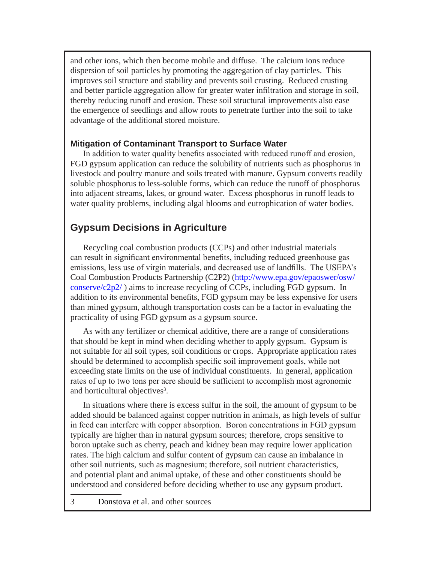and other ions, which then become mobile and diffuse. The calcium ions reduce dispersion of soil particles by promoting the aggregation of clay particles. This improves soil structure and stability and prevents soil crusting. Reduced crusting and better particle aggregation allow for greater water infiltration and storage in soil, thereby reducing runoff and erosion. These soil structural improvements also ease the emergence of seedlings and allow roots to penetrate further into the soil to take advantage of the additional stored moisture.

#### **Mitigation of Contaminant Transport to Surface Water**

In addition to water quality benefits associated with reduced runoff and erosion, FGD gypsum application can reduce the solubility of nutrients such as phosphorus in livestock and poultry manure and soils treated with manure. Gypsum converts readily soluble phosphorus to less-soluble forms, which can reduce the runoff of phosphorus into adjacent streams, lakes, or ground water. Excess phosphorus in runoff leads to water quality problems, including algal blooms and eutrophication of water bodies.

## **Gypsum Decisions in Agriculture**

Recycling coal combustion products (CCPs) and other industrial materials can result in significant environmental benefits, including reduced greenhouse gas emissions, less use of virgin materials, and decreased use of landfills. The USEPA's Coal Combustion Products Partnership (C2P2) (http://www.epa.gov/epaoswer/osw/ conserve/c2p2/ ) aims to increase recycling of CCPs, including FGD gypsum. In addition to its environmental benefits, FGD gypsum may be less expensive for users than mined gypsum, although transportation costs can be a factor in evaluating the practicality of using FGD gypsum as a gypsum source.

As with any fertilizer or chemical additive, there are a range of considerations that should be kept in mind when deciding whether to apply gypsum. Gypsum is not suitable for all soil types, soil conditions or crops. Appropriate application rates should be determined to accomplish specific soil improvement goals, while not exceeding state limits on the use of individual constituents. In general, application rates of up to two tons per acre should be sufficient to accomplish most agronomic and horticultural objectives .

In situations where there is excess sulfur in the soil, the amount of gypsum to be added should be balanced against copper nutrition in animals, as high levels of sulfur in feed can interfere with copper absorption. Boron concentrations in FGD gypsum typically are higher than in natural gypsum sources; therefore, crops sensitive to boron uptake such as cherry, peach and kidney bean may require lower application rates. The high calcium and sulfur content of gypsum can cause an imbalance in other soil nutrients, such as magnesium; therefore, soil nutrient characteristics, and potential plant and animal uptake, of these and other constituents should be understood and considered before deciding whether to use any gypsum product.

Donstova et al. and other sources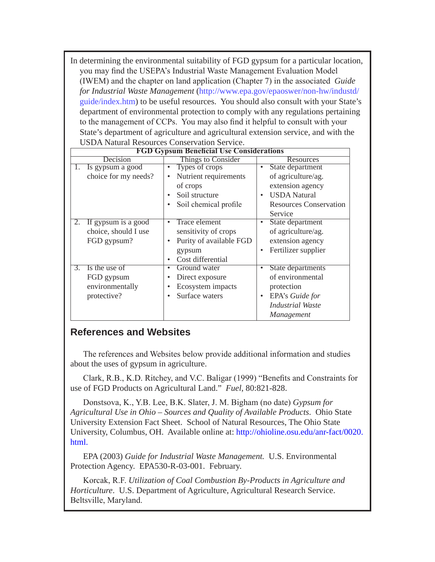In determining the environmental suitability of FGD gypsum for a particular location, you may find the USEPA's Industrial Waste Management Evaluation Model (IWEM) and the chapter on land application (Chapter 7) in the associated *Guide for Industrial Waste Management* (http://www.epa.gov/epaoswer/non-hw/industd/ guide/index.htm) to be useful resources. You should also consult with your State's department of environmental protection to comply with any regulations pertaining to the management of CCPs. You may also find it helpful to consult with your State's department of agriculture and agricultural extension service, and with the USDA Natural Resources Conservation Service.

| <b>FGD Gypsum Beneficial Use Considerations</b> |                                      |                                |
|-------------------------------------------------|--------------------------------------|--------------------------------|
| Decision                                        | Things to Consider                   | Resources                      |
| Is gypsum a good                                | Types of crops<br>$\bullet$          | State department<br>$\bullet$  |
| choice for my needs?                            | Nutrient requirements<br>$\bullet$   | of agriculture/ag.             |
|                                                 | of crops                             | extension agency               |
|                                                 | Soil structure                       | <b>USDA</b> Natural            |
|                                                 | Soil chemical profile<br>$\bullet$   | <b>Resources Conservation</b>  |
|                                                 |                                      | Service                        |
| 2.<br>If gypsum is a good                       | <b>Trace element</b><br>$\bullet$    | State department<br>$\bullet$  |
| choice, should I use                            | sensitivity of crops                 | of agriculture/ag.             |
| FGD gypsum?                                     | Purity of available FGD<br>$\bullet$ | extension agency               |
|                                                 | gypsum                               | Fertilizer supplier            |
|                                                 | Cost differential<br>$\bullet$       |                                |
| Is the use of<br>3.                             | Ground water<br>٠                    | State departments<br>$\bullet$ |
| FGD gypsum                                      | Direct exposure<br>٠                 | of environmental               |
| environmentally                                 | Ecosystem impacts<br>٠               | protection                     |
| protective?                                     | Surface waters<br>$\bullet$          | EPA's Guide for                |
|                                                 |                                      | <b>Industrial Waste</b>        |
|                                                 |                                      | Management                     |

## **References and Websites**

The references and Websites below provide additional information and studies about the uses of gypsum in agriculture.

Clark, R.B., K.D. Ritchey, and V.C. Baligar (1999) "Benefits and Constraints for use of FGD Products on Agricultural Land." *Fuel*, 80:821-828.

Donstsova, K., Y.B. Lee, B.K. Slater, J. M. Bigham (no date) *Gypsum for Agricultural Use in Ohio – Sources and Quality of Available Products*. Ohio State University Extension Fact Sheet. School of Natural Resources, The Ohio State University, Columbus, OH. Available online at: http://ohioline.osu.edu/anr-fact/0020. html.

EPA (2003) *Guide for Industrial Waste Management.* U.S. Environmental Protection Agency. EPA530-R-03-001. February.

Korcak, R.F. *Utilization of Coal Combustion By-Products in Agriculture and Horticulture*. U.S. Department of Agriculture, Agricultural Research Service. Beltsville, Maryland.